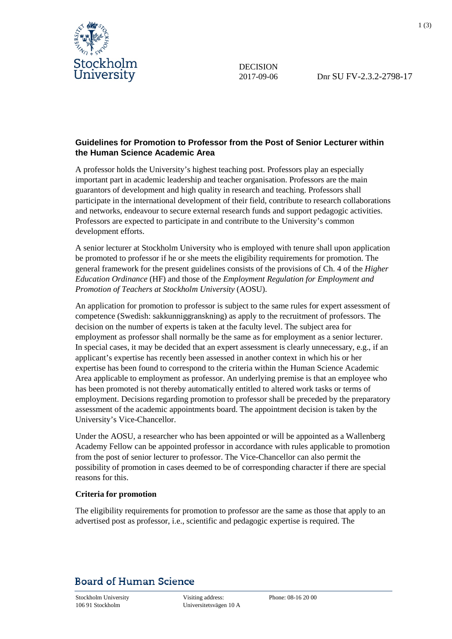

DECISION

## **Guidelines for Promotion to Professor from the Post of Senior Lecturer within the Human Science Academic Area**

A professor holds the University's highest teaching post. Professors play an especially important part in academic leadership and teacher organisation. Professors are the main guarantors of development and high quality in research and teaching. Professors shall participate in the international development of their field, contribute to research collaborations and networks, endeavour to secure external research funds and support pedagogic activities. Professors are expected to participate in and contribute to the University's common development efforts.

A senior lecturer at Stockholm University who is employed with tenure shall upon application be promoted to professor if he or she meets the eligibility requirements for promotion. The general framework for the present guidelines consists of the provisions of Ch. 4 of the *Higher Education Ordinance* (HF) and those of the *Employment Regulation for Employment and Promotion of Teachers at Stockholm University* (AOSU).

An application for promotion to professor is subject to the same rules for expert assessment of competence (Swedish: sakkunniggranskning) as apply to the recruitment of professors. The decision on the number of experts is taken at the faculty level. The subject area for employment as professor shall normally be the same as for employment as a senior lecturer. In special cases, it may be decided that an expert assessment is clearly unnecessary, e.g., if an applicant's expertise has recently been assessed in another context in which his or her expertise has been found to correspond to the criteria within the Human Science Academic Area applicable to employment as professor. An underlying premise is that an employee who has been promoted is not thereby automatically entitled to altered work tasks or terms of employment. Decisions regarding promotion to professor shall be preceded by the preparatory assessment of the academic appointments board. The appointment decision is taken by the University's Vice-Chancellor.

Under the AOSU, a researcher who has been appointed or will be appointed as a Wallenberg Academy Fellow can be appointed professor in accordance with rules applicable to promotion from the post of senior lecturer to professor. The Vice-Chancellor can also permit the possibility of promotion in cases deemed to be of corresponding character if there are special reasons for this.

## **Criteria for promotion**

The eligibility requirements for promotion to professor are the same as those that apply to an advertised post as professor, i.e., scientific and pedagogic expertise is required. The

## **Board of Human Science**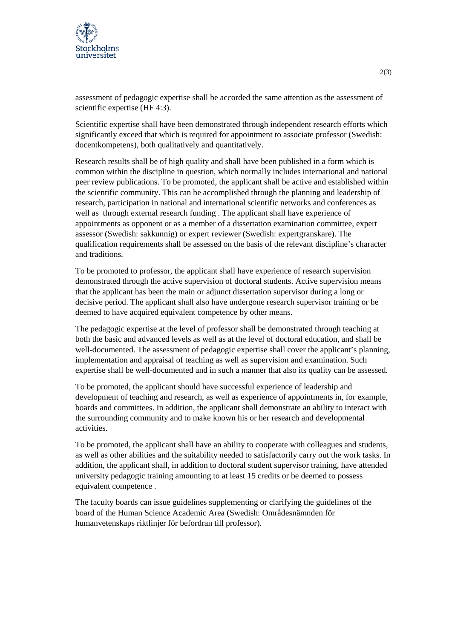

assessment of pedagogic expertise shall be accorded the same attention as the assessment of scientific expertise (HF 4:3).

Scientific expertise shall have been demonstrated through independent research efforts which significantly exceed that which is required for appointment to associate professor (Swedish: docentkompetens), both qualitatively and quantitatively.

Research results shall be of high quality and shall have been published in a form which is common within the discipline in question, which normally includes international and national peer review publications. To be promoted, the applicant shall be active and established within the scientific community. This can be accomplished through the planning and leadership of research, participation in national and international scientific networks and conferences as well as through external research funding . The applicant shall have experience of appointments as opponent or as a member of a dissertation examination committee, expert assessor (Swedish: sakkunnig) or expert reviewer (Swedish: expertgranskare). The qualification requirements shall be assessed on the basis of the relevant discipline's character and traditions.

To be promoted to professor, the applicant shall have experience of research supervision demonstrated through the active supervision of doctoral students. Active supervision means that the applicant has been the main or adjunct dissertation supervisor during a long or decisive period. The applicant shall also have undergone research supervisor training or be deemed to have acquired equivalent competence by other means.

The pedagogic expertise at the level of professor shall be demonstrated through teaching at both the basic and advanced levels as well as at the level of doctoral education, and shall be well-documented. The assessment of pedagogic expertise shall cover the applicant's planning, implementation and appraisal of teaching as well as supervision and examination. Such expertise shall be well-documented and in such a manner that also its quality can be assessed.

To be promoted, the applicant should have successful experience of leadership and development of teaching and research, as well as experience of appointments in, for example, boards and committees. In addition, the applicant shall demonstrate an ability to interact with the surrounding community and to make known his or her research and developmental activities.

To be promoted, the applicant shall have an ability to cooperate with colleagues and students, as well as other abilities and the suitability needed to satisfactorily carry out the work tasks. In addition, the applicant shall, in addition to doctoral student supervisor training, have attended university pedagogic training amounting to at least 15 credits or be deemed to possess equivalent competence .

The faculty boards can issue guidelines supplementing or clarifying the guidelines of the board of the Human Science Academic Area (Swedish: Områdesnämnden för humanvetenskaps riktlinjer för befordran till professor).